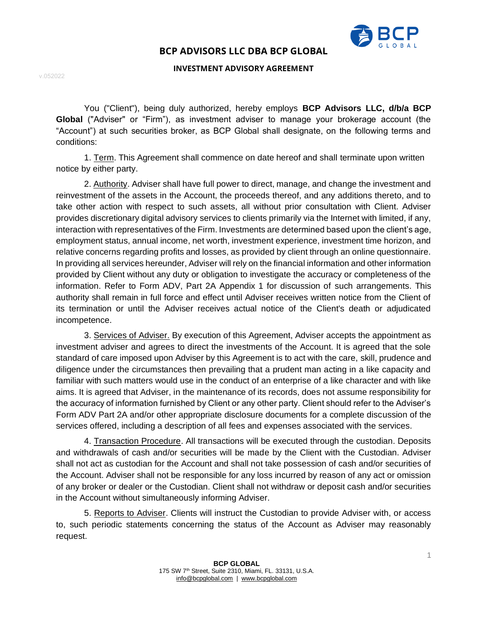

### **INVESTMENT ADVISORY AGREEMENT**

v.052022

You ("Client"), being duly authorized, hereby employs **BCP Advisors LLC, d/b/a BCP Global** ("Adviser" or "Firm"), as investment adviser to manage your brokerage account (the "Account") at such securities broker, as BCP Global shall designate, on the following terms and conditions:

1. Term. This Agreement shall commence on date hereof and shall terminate upon written notice by either party.

2. Authority. Adviser shall have full power to direct, manage, and change the investment and reinvestment of the assets in the Account, the proceeds thereof, and any additions thereto, and to take other action with respect to such assets, all without prior consultation with Client. Adviser provides discretionary digital advisory services to clients primarily via the Internet with limited, if any, interaction with representatives of the Firm. Investments are determined based upon the client's age, employment status, annual income, net worth, investment experience, investment time horizon, and relative concerns regarding profits and losses, as provided by client through an online questionnaire. In providing all services hereunder, Adviser will rely on the financial information and other information provided by Client without any duty or obligation to investigate the accuracy or completeness of the information. Refer to Form ADV, Part 2A Appendix 1 for discussion of such arrangements. This authority shall remain in full force and effect until Adviser receives written notice from the Client of its termination or until the Adviser receives actual notice of the Client's death or adjudicated incompetence.

3. Services of Adviser. By execution of this Agreement, Adviser accepts the appointment as investment adviser and agrees to direct the investments of the Account. It is agreed that the sole standard of care imposed upon Adviser by this Agreement is to act with the care, skill, prudence and diligence under the circumstances then prevailing that a prudent man acting in a like capacity and familiar with such matters would use in the conduct of an enterprise of a like character and with like aims. It is agreed that Adviser, in the maintenance of its records, does not assume responsibility for the accuracy of information furnished by Client or any other party. Client should refer to the Adviser's Form ADV Part 2A and/or other appropriate disclosure documents for a complete discussion of the services offered, including a description of all fees and expenses associated with the services.

4. Transaction Procedure. All transactions will be executed through the custodian. Deposits and withdrawals of cash and/or securities will be made by the Client with the Custodian. Adviser shall not act as custodian for the Account and shall not take possession of cash and/or securities of the Account. Adviser shall not be responsible for any loss incurred by reason of any act or omission of any broker or dealer or the Custodian. Client shall not withdraw or deposit cash and/or securities in the Account without simultaneously informing Adviser.

5. Reports to Adviser. Clients will instruct the Custodian to provide Adviser with, or access to, such periodic statements concerning the status of the Account as Adviser may reasonably request.

1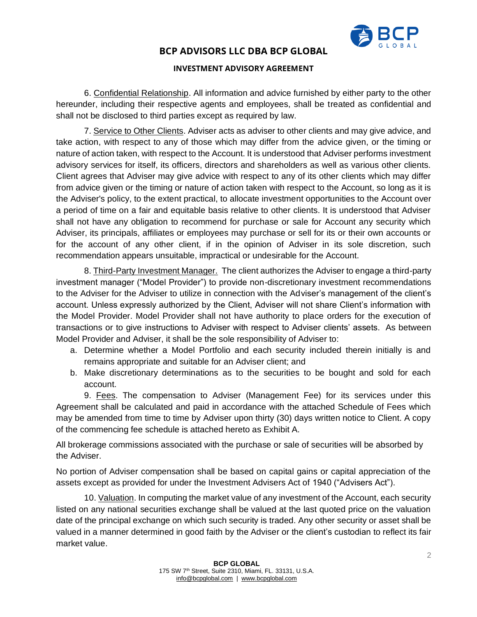

### **INVESTMENT ADVISORY AGREEMENT**

6. Confidential Relationship. All information and advice furnished by either party to the other hereunder, including their respective agents and employees, shall be treated as confidential and shall not be disclosed to third parties except as required by law.

7. Service to Other Clients. Adviser acts as adviser to other clients and may give advice, and take action, with respect to any of those which may differ from the advice given, or the timing or nature of action taken, with respect to the Account. It is understood that Adviser performs investment advisory services for itself, its officers, directors and shareholders as well as various other clients. Client agrees that Adviser may give advice with respect to any of its other clients which may differ from advice given or the timing or nature of action taken with respect to the Account, so long as it is the Adviser's policy, to the extent practical, to allocate investment opportunities to the Account over a period of time on a fair and equitable basis relative to other clients. It is understood that Adviser shall not have any obligation to recommend for purchase or sale for Account any security which Adviser, its principals, affiliates or employees may purchase or sell for its or their own accounts or for the account of any other client, if in the opinion of Adviser in its sole discretion, such recommendation appears unsuitable, impractical or undesirable for the Account.

8. Third-Party Investment Manager. The client authorizes the Adviser to engage a third-party investment manager ("Model Provider") to provide non-discretionary investment recommendations to the Adviser for the Adviser to utilize in connection with the Adviser's management of the client's account. Unless expressly authorized by the Client, Adviser will not share Client's information with the Model Provider. Model Provider shall not have authority to place orders for the execution of transactions or to give instructions to Adviser with respect to Adviser clients' assets. As between Model Provider and Adviser, it shall be the sole responsibility of Adviser to:

- a. Determine whether a Model Portfolio and each security included therein initially is and remains appropriate and suitable for an Adviser client; and
- b. Make discretionary determinations as to the securities to be bought and sold for each account.

9. Fees. The compensation to Adviser (Management Fee) for its services under this Agreement shall be calculated and paid in accordance with the attached Schedule of Fees which may be amended from time to time by Adviser upon thirty (30) days written notice to Client. A copy of the commencing fee schedule is attached hereto as Exhibit A.

All brokerage commissions associated with the purchase or sale of securities will be absorbed by the Adviser.

No portion of Adviser compensation shall be based on capital gains or capital appreciation of the assets except as provided for under the Investment Advisers Act of 1940 ("Advisers Act").

10. Valuation. In computing the market value of any investment of the Account, each security listed on any national securities exchange shall be valued at the last quoted price on the valuation date of the principal exchange on which such security is traded. Any other security or asset shall be valued in a manner determined in good faith by the Adviser or the client's custodian to reflect its fair market value.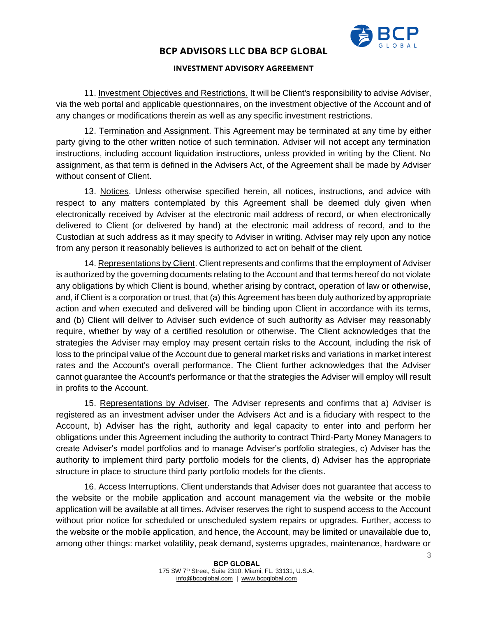

### **INVESTMENT ADVISORY AGREEMENT**

11. Investment Objectives and Restrictions. It will be Client's responsibility to advise Adviser, via the web portal and applicable questionnaires, on the investment objective of the Account and of any changes or modifications therein as well as any specific investment restrictions.

12. Termination and Assignment. This Agreement may be terminated at any time by either party giving to the other written notice of such termination. Adviser will not accept any termination instructions, including account liquidation instructions, unless provided in writing by the Client. No assignment, as that term is defined in the Advisers Act, of the Agreement shall be made by Adviser without consent of Client.

13. Notices. Unless otherwise specified herein, all notices, instructions, and advice with respect to any matters contemplated by this Agreement shall be deemed duly given when electronically received by Adviser at the electronic mail address of record, or when electronically delivered to Client (or delivered by hand) at the electronic mail address of record, and to the Custodian at such address as it may specify to Adviser in writing. Adviser may rely upon any notice from any person it reasonably believes is authorized to act on behalf of the client.

14. Representations by Client. Client represents and confirms that the employment of Adviser is authorized by the governing documents relating to the Account and that terms hereof do not violate any obligations by which Client is bound, whether arising by contract, operation of law or otherwise, and, if Client is a corporation or trust, that (a) this Agreement has been duly authorized by appropriate action and when executed and delivered will be binding upon Client in accordance with its terms, and (b) Client will deliver to Adviser such evidence of such authority as Adviser may reasonably require, whether by way of a certified resolution or otherwise. The Client acknowledges that the strategies the Adviser may employ may present certain risks to the Account, including the risk of loss to the principal value of the Account due to general market risks and variations in market interest rates and the Account's overall performance. The Client further acknowledges that the Adviser cannot guarantee the Account's performance or that the strategies the Adviser will employ will result in profits to the Account.

15. Representations by Adviser. The Adviser represents and confirms that a) Adviser is registered as an investment adviser under the Advisers Act and is a fiduciary with respect to the Account, b) Adviser has the right, authority and legal capacity to enter into and perform her obligations under this Agreement including the authority to contract Third-Party Money Managers to create Adviser's model portfolios and to manage Adviser's portfolio strategies, c) Adviser has the authority to implement third party portfolio models for the clients, d) Adviser has the appropriate structure in place to structure third party portfolio models for the clients.

16. Access Interruptions. Client understands that Adviser does not guarantee that access to the website or the mobile application and account management via the website or the mobile application will be available at all times. Adviser reserves the right to suspend access to the Account without prior notice for scheduled or unscheduled system repairs or upgrades. Further, access to the website or the mobile application, and hence, the Account, may be limited or unavailable due to, among other things: market volatility, peak demand, systems upgrades, maintenance, hardware or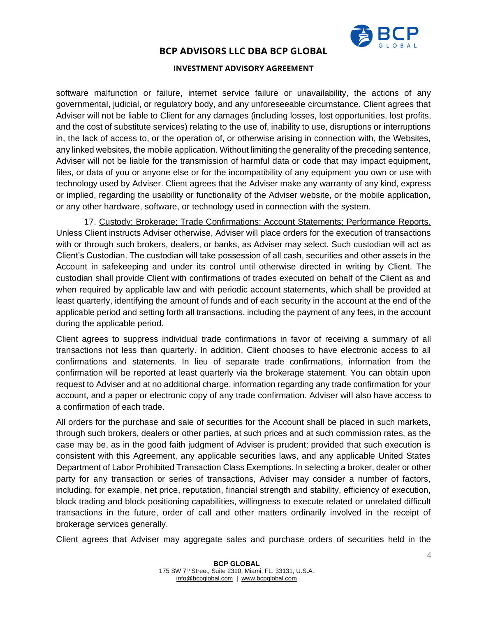

### **INVESTMENT ADVISORY AGREEMENT**

software malfunction or failure, internet service failure or unavailability, the actions of any governmental, judicial, or regulatory body, and any unforeseeable circumstance. Client agrees that Adviser will not be liable to Client for any damages (including losses, lost opportunities, lost profits, and the cost of substitute services) relating to the use of, inability to use, disruptions or interruptions in, the lack of access to, or the operation of, or otherwise arising in connection with, the Websites, any linked websites, the mobile application. Without limiting the generality of the preceding sentence, Adviser will not be liable for the transmission of harmful data or code that may impact equipment, files, or data of you or anyone else or for the incompatibility of any equipment you own or use with technology used by Adviser. Client agrees that the Adviser make any warranty of any kind, express or implied, regarding the usability or functionality of the Adviser website, or the mobile application, or any other hardware, software, or technology used in connection with the system.

17. Custody; Brokerage; Trade Confirmations; Account Statements; Performance Reports. Unless Client instructs Adviser otherwise, Adviser will place orders for the execution of transactions with or through such brokers, dealers, or banks, as Adviser may select. Such custodian will act as Client's Custodian. The custodian will take possession of all cash, securities and other assets in the Account in safekeeping and under its control until otherwise directed in writing by Client. The custodian shall provide Client with confirmations of trades executed on behalf of the Client as and when required by applicable law and with periodic account statements, which shall be provided at least quarterly, identifying the amount of funds and of each security in the account at the end of the applicable period and setting forth all transactions, including the payment of any fees, in the account during the applicable period.

Client agrees to suppress individual trade confirmations in favor of receiving a summary of all transactions not less than quarterly. In addition, Client chooses to have electronic access to all confirmations and statements. In lieu of separate trade confirmations, information from the confirmation will be reported at least quarterly via the brokerage statement. You can obtain upon request to Adviser and at no additional charge, information regarding any trade confirmation for your account, and a paper or electronic copy of any trade confirmation. Adviser will also have access to a confirmation of each trade.

All orders for the purchase and sale of securities for the Account shall be placed in such markets, through such brokers, dealers or other parties, at such prices and at such commission rates, as the case may be, as in the good faith judgment of Adviser is prudent; provided that such execution is consistent with this Agreement, any applicable securities laws, and any applicable United States Department of Labor Prohibited Transaction Class Exemptions. In selecting a broker, dealer or other party for any transaction or series of transactions, Adviser may consider a number of factors, including, for example, net price, reputation, financial strength and stability, efficiency of execution, block trading and block positioning capabilities, willingness to execute related or unrelated difficult transactions in the future, order of call and other matters ordinarily involved in the receipt of brokerage services generally.

Client agrees that Adviser may aggregate sales and purchase orders of securities held in the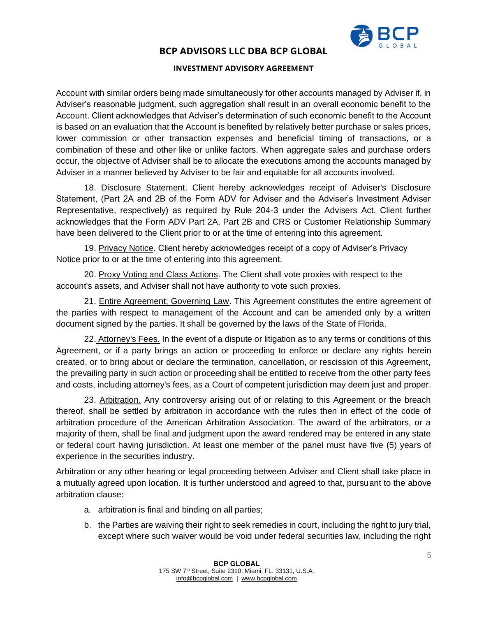

### **INVESTMENT ADVISORY AGREEMENT**

Account with similar orders being made simultaneously for other accounts managed by Adviser if, in Adviser's reasonable judgment, such aggregation shall result in an overall economic benefit to the Account. Client acknowledges that Adviser's determination of such economic benefit to the Account is based on an evaluation that the Account is benefited by relatively better purchase or sales prices, lower commission or other transaction expenses and beneficial timing of transactions, or a combination of these and other like or unlike factors. When aggregate sales and purchase orders occur, the objective of Adviser shall be to allocate the executions among the accounts managed by Adviser in a manner believed by Adviser to be fair and equitable for all accounts involved.

18. Disclosure Statement. Client hereby acknowledges receipt of Adviser's Disclosure Statement, (Part 2A and 2B of the Form ADV for Adviser and the Adviser's Investment Adviser Representative, respectively) as required by Rule 204-3 under the Advisers Act. Client further acknowledges that the Form ADV Part 2A, Part 2B and CRS or Customer Relationship Summary have been delivered to the Client prior to or at the time of entering into this agreement.

19. Privacy Notice. Client hereby acknowledges receipt of a copy of Adviser's Privacy Notice prior to or at the time of entering into this agreement.

20. Proxy Voting and Class Actions. The Client shall vote proxies with respect to the account's assets, and Adviser shall not have authority to vote such proxies.

21. Entire Agreement; Governing Law. This Agreement constitutes the entire agreement of the parties with respect to management of the Account and can be amended only by a written document signed by the parties. It shall be governed by the laws of the State of Florida.

22. Attorney's Fees. In the event of a dispute or litigation as to any terms or conditions of this Agreement, or if a party brings an action or proceeding to enforce or declare any rights herein created, or to bring about or declare the termination, cancellation, or rescission of this Agreement, the prevailing party in such action or proceeding shall be entitled to receive from the other party fees and costs, including attorney's fees, as a Court of competent jurisdiction may deem just and proper.

23. Arbitration. Any controversy arising out of or relating to this Agreement or the breach thereof, shall be settled by arbitration in accordance with the rules then in effect of the code of arbitration procedure of the American Arbitration Association. The award of the arbitrators, or a majority of them, shall be final and judgment upon the award rendered may be entered in any state or federal court having jurisdiction. At least one member of the panel must have five (5) years of experience in the securities industry.

Arbitration or any other hearing or legal proceeding between Adviser and Client shall take place in a mutually agreed upon location. It is further understood and agreed to that, pursuant to the above arbitration clause:

- a. arbitration is final and binding on all parties;
- b. the Parties are waiving their right to seek remedies in court, including the right to jury trial, except where such waiver would be void under federal securities law, including the right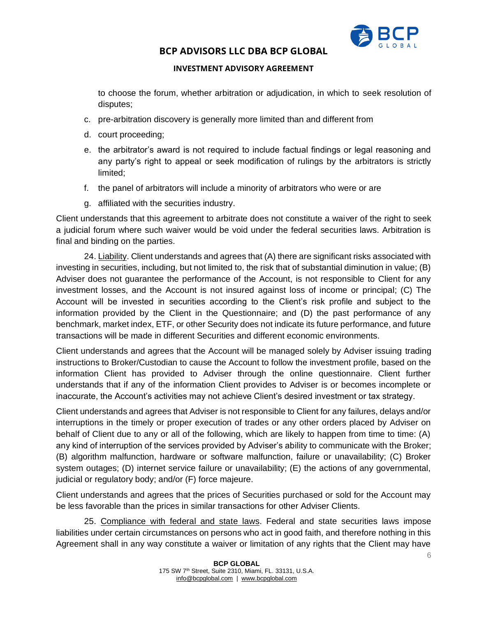

### **INVESTMENT ADVISORY AGREEMENT**

to choose the forum, whether arbitration or adjudication, in which to seek resolution of disputes;

- c. pre-arbitration discovery is generally more limited than and different from
- d. court proceeding;
- e. the arbitrator's award is not required to include factual findings or legal reasoning and any party's right to appeal or seek modification of rulings by the arbitrators is strictly limited;
- f. the panel of arbitrators will include a minority of arbitrators who were or are
- g. affiliated with the securities industry.

Client understands that this agreement to arbitrate does not constitute a waiver of the right to seek a judicial forum where such waiver would be void under the federal securities laws. Arbitration is final and binding on the parties.

24. Liability. Client understands and agrees that (A) there are significant risks associated with investing in securities, including, but not limited to, the risk that of substantial diminution in value; (B) Adviser does not guarantee the performance of the Account, is not responsible to Client for any investment losses, and the Account is not insured against loss of income or principal; (C) The Account will be invested in securities according to the Client's risk profile and subject to the information provided by the Client in the Questionnaire; and (D) the past performance of any benchmark, market index, ETF, or other Security does not indicate its future performance, and future transactions will be made in different Securities and different economic environments.

Client understands and agrees that the Account will be managed solely by Adviser issuing trading instructions to Broker/Custodian to cause the Account to follow the investment profile, based on the information Client has provided to Adviser through the online questionnaire. Client further understands that if any of the information Client provides to Adviser is or becomes incomplete or inaccurate, the Account's activities may not achieve Client's desired investment or tax strategy.

Client understands and agrees that Adviser is not responsible to Client for any failures, delays and/or interruptions in the timely or proper execution of trades or any other orders placed by Adviser on behalf of Client due to any or all of the following, which are likely to happen from time to time: (A) any kind of interruption of the services provided by Adviser's ability to communicate with the Broker; (B) algorithm malfunction, hardware or software malfunction, failure or unavailability; (C) Broker system outages; (D) internet service failure or unavailability; (E) the actions of any governmental, judicial or regulatory body; and/or (F) force majeure.

Client understands and agrees that the prices of Securities purchased or sold for the Account may be less favorable than the prices in similar transactions for other Adviser Clients.

25. Compliance with federal and state laws. Federal and state securities laws impose liabilities under certain circumstances on persons who act in good faith, and therefore nothing in this Agreement shall in any way constitute a waiver or limitation of any rights that the Client may have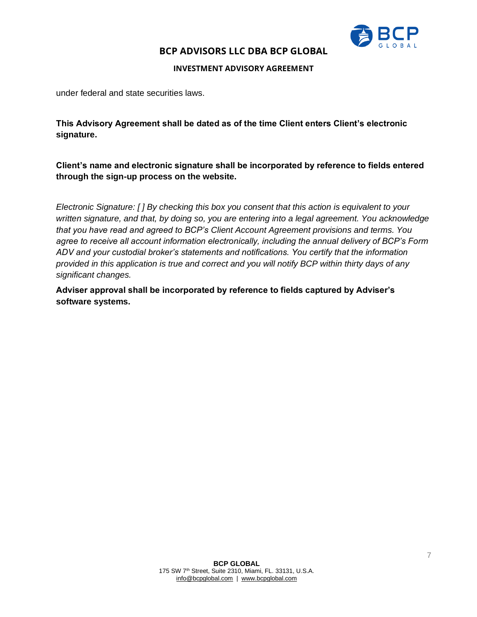

**INVESTMENT ADVISORY AGREEMENT**

under federal and state securities laws.

**This Advisory Agreement shall be dated as of the time Client enters Client's electronic signature.**

**Client's name and electronic signature shall be incorporated by reference to fields entered through the sign-up process on the website.**

*Electronic Signature: [ ] By checking this box you consent that this action is equivalent to your written signature, and that, by doing so, you are entering into a legal agreement. You acknowledge that you have read and agreed to BCP's Client Account Agreement provisions and terms. You agree to receive all account information electronically, including the annual delivery of BCP's Form ADV and your custodial broker's statements and notifications. You certify that the information provided in this application is true and correct and you will notify BCP within thirty days of any significant changes.*

**Adviser approval shall be incorporated by reference to fields captured by Adviser's software systems.**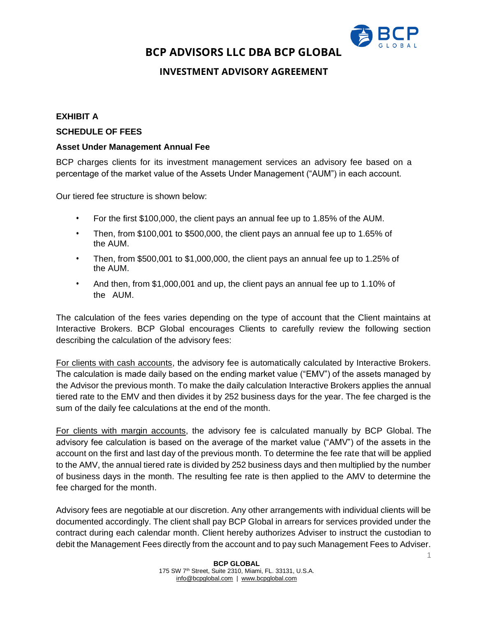

# **INVESTMENT ADVISORY AGREEMENT**

### **EXHIBIT A**

#### **SCHEDULE OF FEES**

### **Asset Under Management Annual Fee**

BCP charges clients for its investment management services an advisory fee based on a percentage of the market value of the Assets Under Management ("AUM") in each account.

Our tiered fee structure is shown below:

- For the first \$100,000, the client pays an annual fee up to 1.85% of the AUM.
- Then, from \$100,001 to \$500,000, the client pays an annual fee up to 1.65% of the AUM.
- Then, from \$500,001 to \$1,000,000, the client pays an annual fee up to 1.25% of the AUM.
- And then, from \$1,000,001 and up, the client pays an annual fee up to 1.10% of the AUM.

The calculation of the fees varies depending on the type of account that the Client maintains at Interactive Brokers. BCP Global encourages Clients to carefully review the following section describing the calculation of the advisory fees:

For clients with cash accounts, the advisory fee is automatically calculated by Interactive Brokers. The calculation is made daily based on the ending market value ("EMV") of the assets managed by the Advisor the previous month. To make the daily calculation Interactive Brokers applies the annual tiered rate to the EMV and then divides it by 252 business days for the year. The fee charged is the sum of the daily fee calculations at the end of the month.

For clients with margin accounts, the advisory fee is calculated manually by BCP Global. The advisory fee calculation is based on the average of the market value ("AMV") of the assets in the account on the first and last day of the previous month. To determine the fee rate that will be applied to the AMV, the annual tiered rate is divided by 252 business days and then multiplied by the number of business days in the month. The resulting fee rate is then applied to the AMV to determine the fee charged for the month.

Advisory fees are negotiable at our discretion. Any other arrangements with individual clients will be documented accordingly. The client shall pay BCP Global in arrears for services provided under the contract during each calendar month. Client hereby authorizes Adviser to instruct the custodian to debit the Management Fees directly from the account and to pay such Management Fees to Adviser.